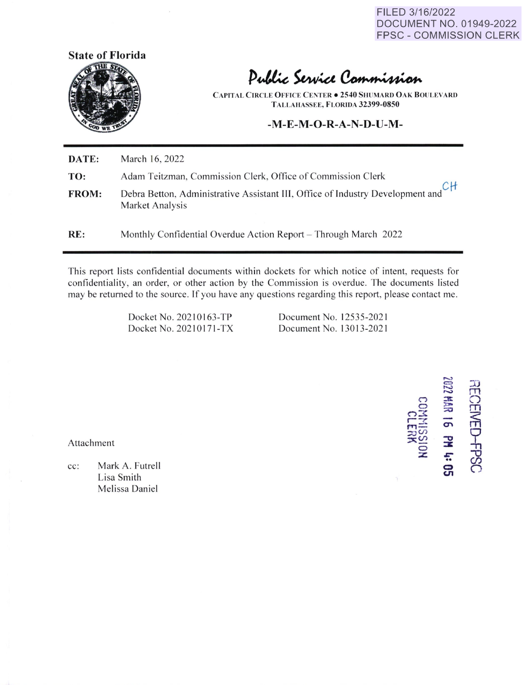FILED 3/16/2022 DOCUMENT NO. 01949-2022 FPSC - COMMISSION CLERK



Public Service Commission

**CAPITAL CIRCLE OFFICE CENTER**  $\bullet$  **2540 SHUMARD OAK BOULEVARD TALLAIIASSEE, FLORIDA 32399-0850** 

## **-M-E-M-O-R-A-N-D-U-M-**

| RE:          | Monthly Confidential Overdue Action Report – Through March 2022                                                         |  |  |  |  |  |
|--------------|-------------------------------------------------------------------------------------------------------------------------|--|--|--|--|--|
| <b>FROM:</b> | Debra Betton, Administrative Assistant III, Office of Industry Development and CH<br>Market Analysis<br>Market Analysis |  |  |  |  |  |
| TO:          | Adam Teitzman, Commission Clerk, Office of Commission Clerk                                                             |  |  |  |  |  |
| DATE:        | March 16, 2022                                                                                                          |  |  |  |  |  |

This report lists confidential documents within dockets for which notice of intent, requests for confidentiality, an order, or other action by the Commission is overdue. The documents listed may be returned to the source. If you have any questions regarding this report, please contact me.

> Docket No. 202 101 63-TP Docket No.202 10171 -TX

Document No. 12535-202 1 Document No. 13013-2021

**C:O.M**<br>P C:OM<br>**C:O.M**  $r = r$  $m \geq 0$  $\approx$  $\frac{1}{2}$   $\frac{1}{2}$   $\frac{1}{2}$   $\frac{1}{2}$   $\frac{1}{2}$   $\frac{1}{2}$   $\frac{1}{2}$   $\frac{1}{2}$   $\frac{1}{2}$ :z: *&'"*  •• **0 U1**  :lJ rn *C)*  m r?1  $\frac{1}{2}$  $\mathcal{O}$  $\subset$ 

Attachment

ï

cc: Mark A. Futrell Lisa Smith Melissa Daniel